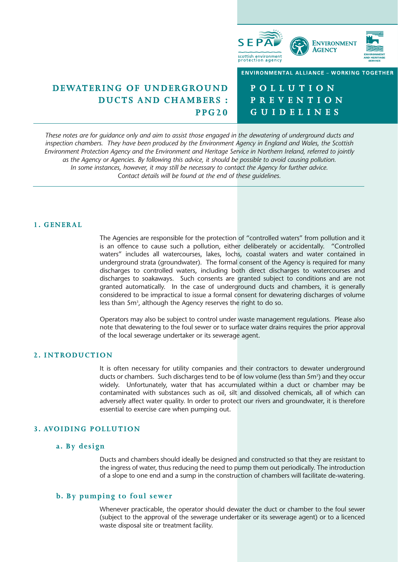

# **DEWATERING OF UNDERGROUND DUCTS AND CHAMBERS : PPG20**

**POLLUTION PREVENTION GUIDELINES**

*These notes are for guidance only and aim to assist those engaged in the dewatering of underground ducts and inspection chambers. They have been produced by the Environment Agency in England and Wales, the Scottish Environment Protection Agency and the Environment and Heritage Service in Northern Ireland, referred to jointly as the Agency or Agencies. By following this advice, it should be possible to avoid causing pollution. In some instances, however, it may still be necessary to contact the Agency for further advice. Contact details will be found at the end of these guidelines.*

### **1. GENERAL**

The Agencies are responsible for the protection of "controlled waters" from pollution and it is an offence to cause such a pollution, either deliberately or accidentally. "Controlled waters" includes all watercourses, lakes, lochs, coastal waters and water contained in underground strata (groundwater). The formal consent of the Agency is required for many discharges to controlled waters, including both direct discharges to watercourses and discharges to soakaways. Such consents are granted subject to conditions and are not granted automatically. In the case of underground ducts and chambers, it is generally considered to be impractical to issue a formal consent for dewatering discharges of volume less than 5m<sup>3</sup>, although the Agency reserves the right to do so.

Operators may also be subject to control under waste management regulations. Please also note that dewatering to the foul sewer or to surface water drains requires the prior approval of the local sewerage undertaker or its sewerage agent.

# **2. INTRODUCTION**

It is often necessary for utility companies and their contractors to dewater underground ducts or chambers. Such discharges tend to be of low volume (less than 5m3) and they occur widely. Unfortunately, water that has accumulated within a duct or chamber may be contaminated with substances such as oil, silt and dissolved chemicals, all of which can adversely affect water quality. In order to protect our rivers and groundwater, it is therefore essential to exercise care when pumping out.

# **3. AVOIDING POLLUTION**

## **a. By design**

Ducts and chambers should ideally be designed and constructed so that they are resistant to the ingress of water, thus reducing the need to pump them out periodically. The introduction of a slope to one end and a sump in the construction of chambers will facilitate de-watering.

# **b. By pumping to foul sewer**

Whenever practicable, the operator should dewater the duct or chamber to the foul sewer (subject to the approval of the sewerage undertaker or its sewerage agent) or to a licenced waste disposal site or treatment facility.